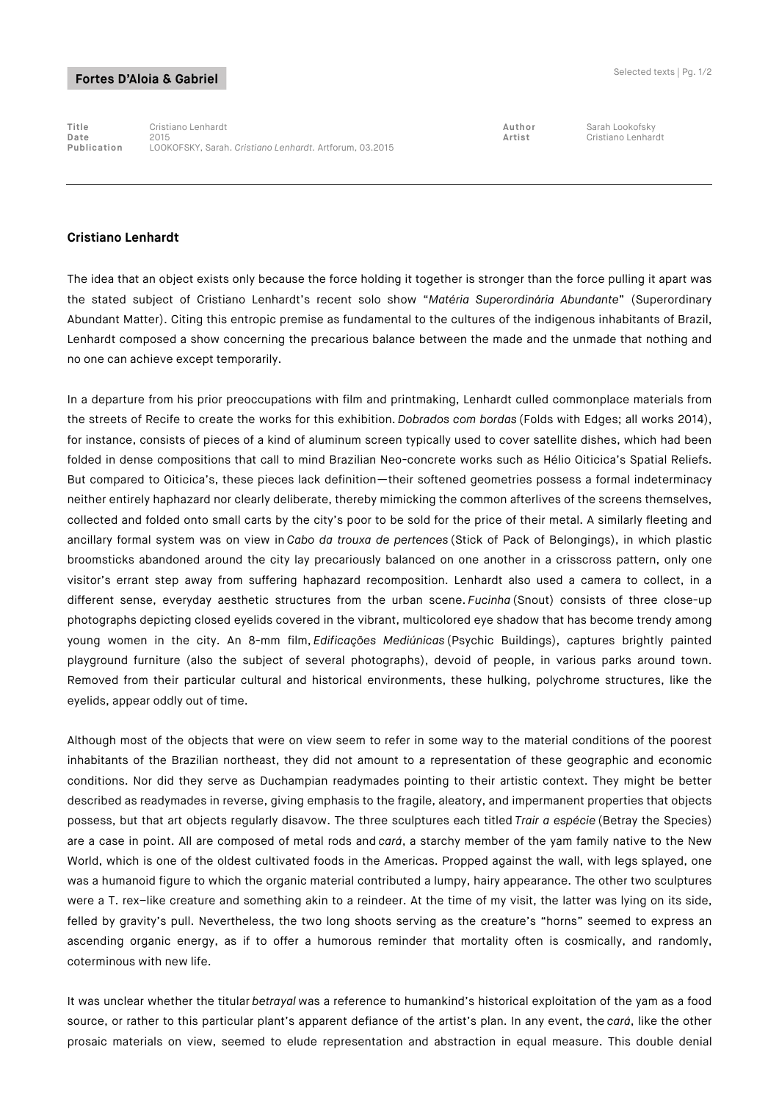## Fortes D'Aloia & Gabriel

**Title** Cristiano Lenhardt **Author** Sarah Lookofsky **Date** 2015 **Artist** Cristiano Lenhardt **Publication** LOOKOFSKY, Sarah. *Cristiano Lenhardt.* Artforum, 03.2015

## **Cristiano Lenhardt**

The idea that an object exists only because the force holding it together is stronger than the force pulling it apart was the stated subject of Cristiano Lenhardt's recent solo show "*Matéria Superordinária Abundante*" (Superordinary Abundant Matter). Citing this entropic premise as fundamental to the cultures of the indigenous inhabitants of Brazil, Lenhardt composed a show concerning the precarious balance between the made and the unmade that nothing and no one can achieve except temporarily.

In a departure from his prior preoccupations with film and printmaking, Lenhardt culled commonplace materials from the streets of Recife to create the works for this exhibition. *Dobrados com bordas* (Folds with Edges; all works 2014), for instance, consists of pieces of a kind of aluminum screen typically used to cover satellite dishes, which had been folded in dense compositions that call to mind Brazilian Neo-concrete works such as Hélio Oiticica's Spatial Reliefs. But compared to Oiticica's, these pieces lack definition—their softened geometries possess a formal indeterminacy neither entirely haphazard nor clearly deliberate, thereby mimicking the common afterlives of the screens themselves, collected and folded onto small carts by the city's poor to be sold for the price of their metal. A similarly fleeting and ancillary formal system was on view in *Cabo da trouxa de pertences* (Stick of Pack of Belongings), in which plastic broomsticks abandoned around the city lay precariously balanced on one another in a crisscross pattern, only one visitor's errant step away from suffering haphazard recomposition. Lenhardt also used a camera to collect, in a different sense, everyday aesthetic structures from the urban scene. *Fucinha* (Snout) consists of three close-up photographs depicting closed eyelids covered in the vibrant, multicolored eye shadow that has become trendy among young women in the city. An 8-mm film, *Edificações Mediúnicas* (Psychic Buildings), captures brightly painted playground furniture (also the subject of several photographs), devoid of people, in various parks around town. Removed from their particular cultural and historical environments, these hulking, polychrome structures, like the eyelids, appear oddly out of time.

Although most of the objects that were on view seem to refer in some way to the material conditions of the poorest inhabitants of the Brazilian northeast, they did not amount to a representation of these geographic and economic conditions. Nor did they serve as Duchampian readymades pointing to their artistic context. They might be better described as readymades in reverse, giving emphasis to the fragile, aleatory, and impermanent properties that objects possess, but that art objects regularly disavow. The three sculptures each titled *Trair a espécie* (Betray the Species) are a case in point. All are composed of metal rods and *cará*, a starchy member of the yam family native to the New World, which is one of the oldest cultivated foods in the Americas. Propped against the wall, with legs splayed, one was a humanoid figure to which the organic material contributed a lumpy, hairy appearance. The other two sculptures were a T. rex–like creature and something akin to a reindeer. At the time of my visit, the latter was lying on its side, felled by gravity's pull. Nevertheless, the two long shoots serving as the creature's "horns" seemed to express an ascending organic energy, as if to offer a humorous reminder that mortality often is cosmically, and randomly, coterminous with new life.

It was unclear whether the titular *betrayal* was a reference to humankind's historical exploitation of the yam as a food source, or rather to this particular plant's apparent defiance of the artist's plan. In any event, the *cará*, like the other prosaic materials on view, seemed to elude representation and abstraction in equal measure. This double denial